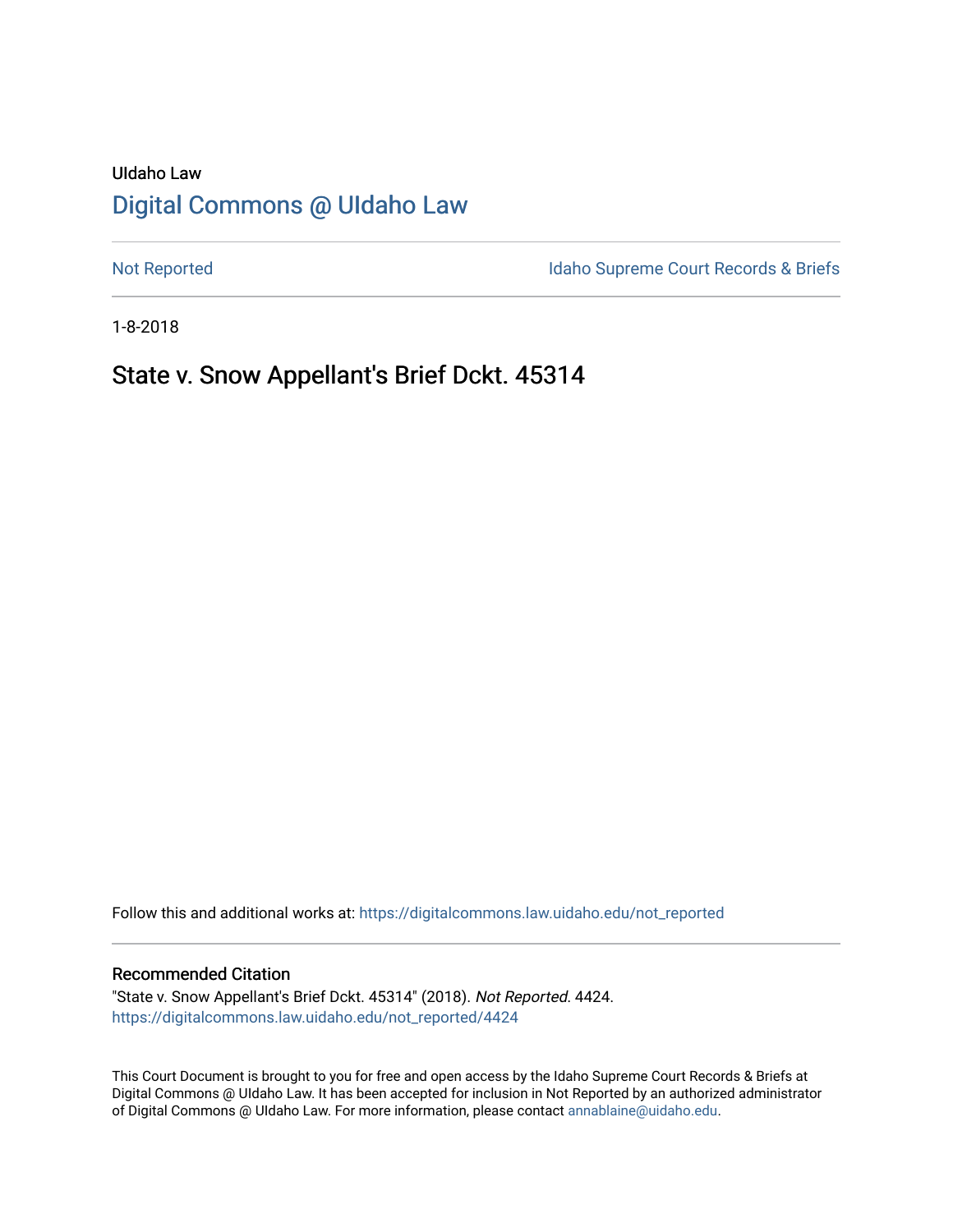# UIdaho Law [Digital Commons @ UIdaho Law](https://digitalcommons.law.uidaho.edu/)

[Not Reported](https://digitalcommons.law.uidaho.edu/not_reported) **Idaho Supreme Court Records & Briefs** 

1-8-2018

# State v. Snow Appellant's Brief Dckt. 45314

Follow this and additional works at: [https://digitalcommons.law.uidaho.edu/not\\_reported](https://digitalcommons.law.uidaho.edu/not_reported?utm_source=digitalcommons.law.uidaho.edu%2Fnot_reported%2F4424&utm_medium=PDF&utm_campaign=PDFCoverPages) 

#### Recommended Citation

"State v. Snow Appellant's Brief Dckt. 45314" (2018). Not Reported. 4424. [https://digitalcommons.law.uidaho.edu/not\\_reported/4424](https://digitalcommons.law.uidaho.edu/not_reported/4424?utm_source=digitalcommons.law.uidaho.edu%2Fnot_reported%2F4424&utm_medium=PDF&utm_campaign=PDFCoverPages)

This Court Document is brought to you for free and open access by the Idaho Supreme Court Records & Briefs at Digital Commons @ UIdaho Law. It has been accepted for inclusion in Not Reported by an authorized administrator of Digital Commons @ UIdaho Law. For more information, please contact [annablaine@uidaho.edu](mailto:annablaine@uidaho.edu).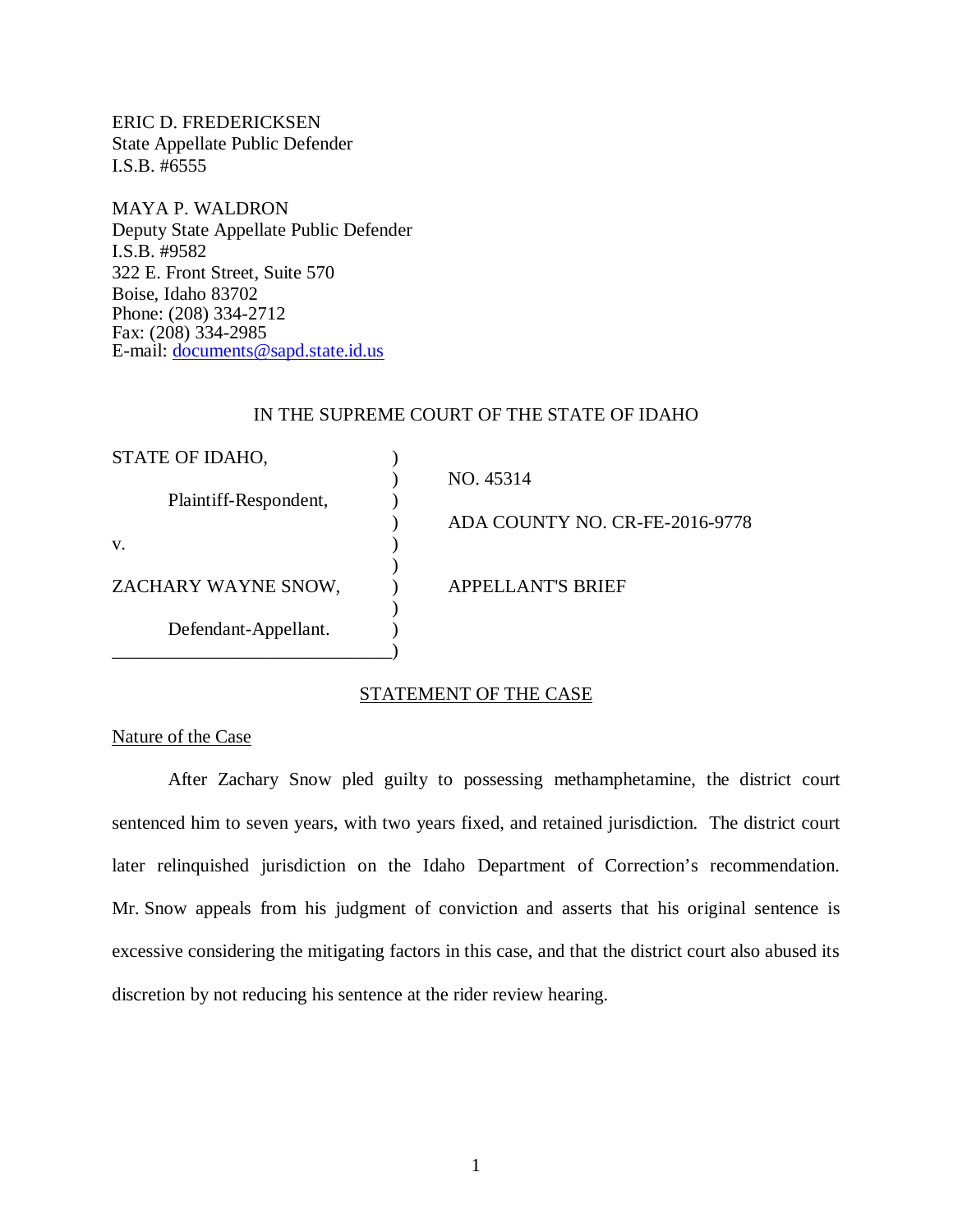ERIC D. FREDERICKSEN State Appellate Public Defender I.S.B. #6555

MAYA P. WALDRON Deputy State Appellate Public Defender I.S.B. #9582 322 E. Front Street, Suite 570 Boise, Idaho 83702 Phone: (208) 334-2712 Fax: (208) 334-2985 E-mail: [documents@sapd.state.id.us](mailto:documents@sapd.state.id.us)

### IN THE SUPREME COURT OF THE STATE OF IDAHO

| STATE OF IDAHO,       |                                |
|-----------------------|--------------------------------|
|                       | NO. 45314                      |
| Plaintiff-Respondent, |                                |
|                       | ADA COUNTY NO. CR-FE-2016-9778 |
| V.                    |                                |
|                       |                                |
| ZACHARY WAYNE SNOW,   | <b>APPELLANT'S BRIEF</b>       |
|                       |                                |
| Defendant-Appellant.  |                                |
|                       |                                |

## STATEMENT OF THE CASE

# Nature of the Case

After Zachary Snow pled guilty to possessing methamphetamine, the district court sentenced him to seven years, with two years fixed, and retained jurisdiction. The district court later relinquished jurisdiction on the Idaho Department of Correction's recommendation. Mr. Snow appeals from his judgment of conviction and asserts that his original sentence is excessive considering the mitigating factors in this case, and that the district court also abused its discretion by not reducing his sentence at the rider review hearing.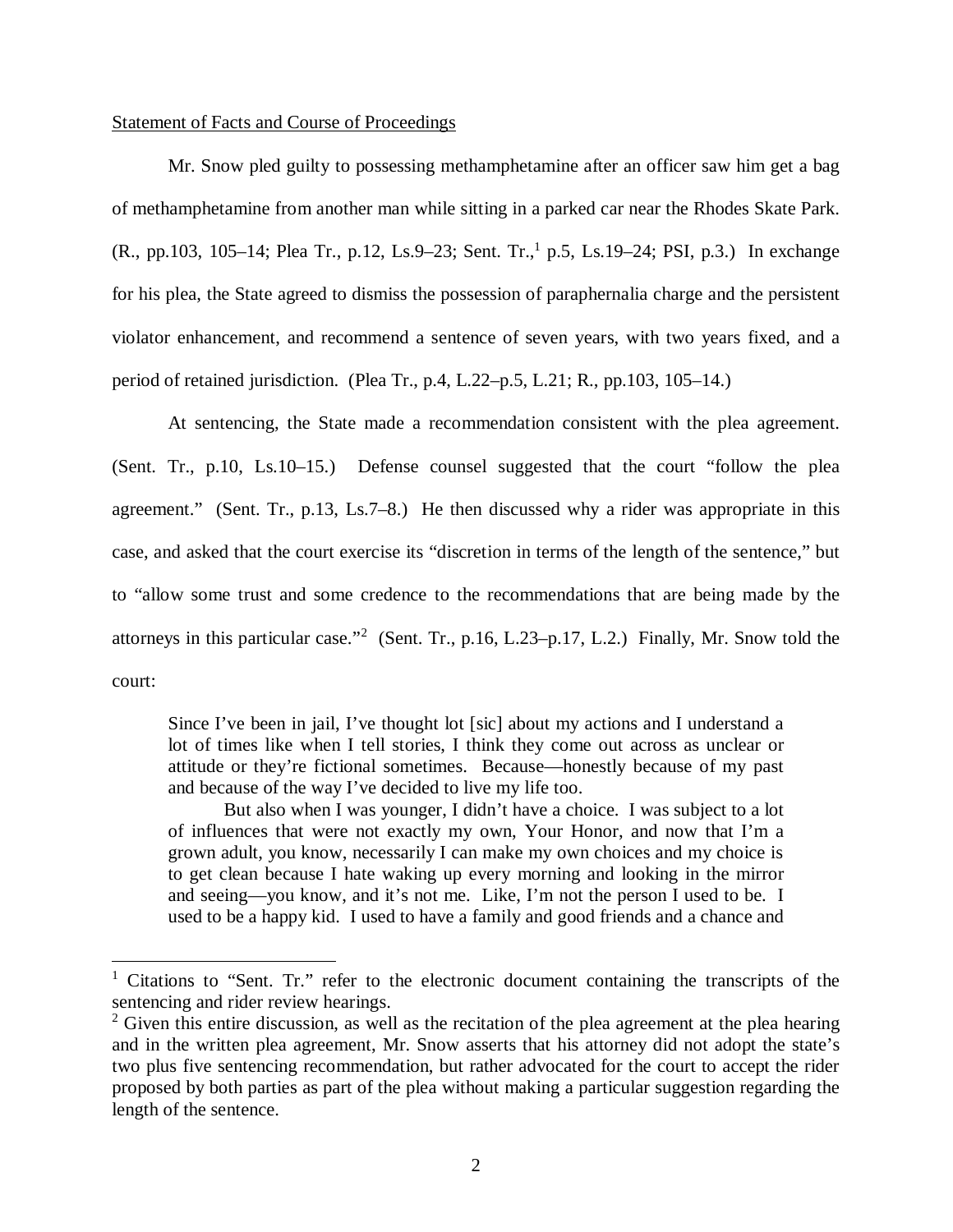#### Statement of Facts and Course of Proceedings

Mr. Snow pled guilty to possessing methamphetamine after an officer saw him get a bag of methamphetamine from another man while sitting in a parked car near the Rhodes Skate Park. (R., pp.[1](#page-2-0)03, 105–14; Plea Tr., p.12, Ls.9–23; Sent. Tr., p.5, Ls.19–24; PSI, p.3.) In exchange for his plea, the State agreed to dismiss the possession of paraphernalia charge and the persistent violator enhancement, and recommend a sentence of seven years, with two years fixed, and a period of retained jurisdiction. (Plea Tr., p.4, L.22–p.5, L.21; R., pp.103, 105–14.)

At sentencing, the State made a recommendation consistent with the plea agreement. (Sent. Tr., p.10, Ls.10–15.) Defense counsel suggested that the court "follow the plea agreement." (Sent. Tr., p.13, Ls.7–8.) He then discussed why a rider was appropriate in this case, and asked that the court exercise its "discretion in terms of the length of the sentence," but to "allow some trust and some credence to the recommendations that are being made by the attorneys in this particular case."<sup>[2](#page-2-1)</sup> (Sent. Tr., p.16, L.23-p.17, L.2.) Finally, Mr. Snow told the court:

Since I've been in jail, I've thought lot [sic] about my actions and I understand a lot of times like when I tell stories, I think they come out across as unclear or attitude or they're fictional sometimes. Because—honestly because of my past and because of the way I've decided to live my life too.

But also when I was younger, I didn't have a choice. I was subject to a lot of influences that were not exactly my own, Your Honor, and now that I'm a grown adult, you know, necessarily I can make my own choices and my choice is to get clean because I hate waking up every morning and looking in the mirror and seeing—you know, and it's not me. Like, I'm not the person I used to be. I used to be a happy kid. I used to have a family and good friends and a chance and

<span id="page-2-0"></span><sup>&</sup>lt;sup>1</sup> Citations to "Sent. Tr." refer to the electronic document containing the transcripts of the sentencing and rider review hearings.

<span id="page-2-1"></span> $2$  Given this entire discussion, as well as the recitation of the plea agreement at the plea hearing and in the written plea agreement, Mr. Snow asserts that his attorney did not adopt the state's two plus five sentencing recommendation, but rather advocated for the court to accept the rider proposed by both parties as part of the plea without making a particular suggestion regarding the length of the sentence.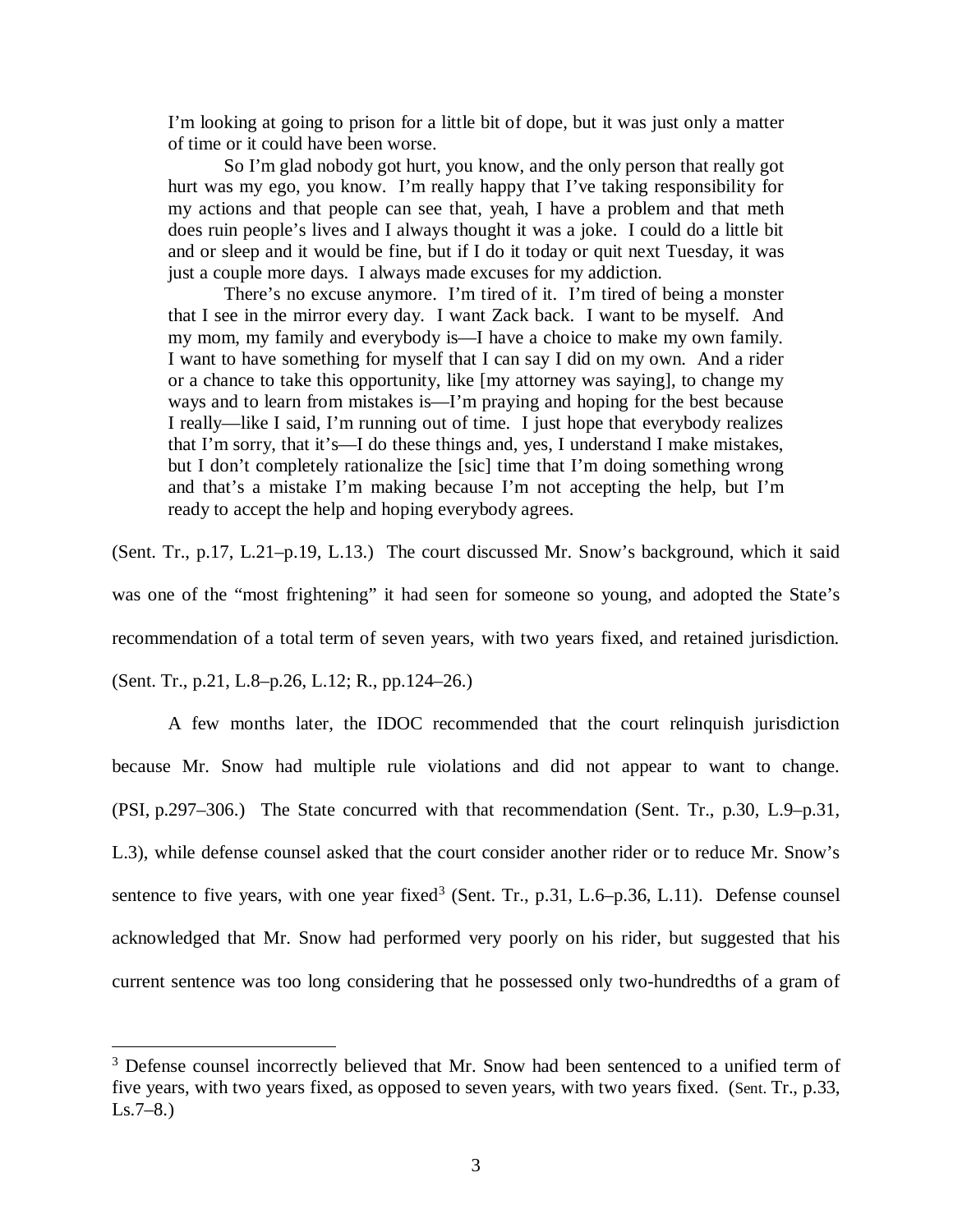I'm looking at going to prison for a little bit of dope, but it was just only a matter of time or it could have been worse.

So I'm glad nobody got hurt, you know, and the only person that really got hurt was my ego, you know. I'm really happy that I've taking responsibility for my actions and that people can see that, yeah, I have a problem and that meth does ruin people's lives and I always thought it was a joke. I could do a little bit and or sleep and it would be fine, but if I do it today or quit next Tuesday, it was just a couple more days. I always made excuses for my addiction.

There's no excuse anymore. I'm tired of it. I'm tired of being a monster that I see in the mirror every day. I want Zack back. I want to be myself. And my mom, my family and everybody is—I have a choice to make my own family. I want to have something for myself that I can say I did on my own. And a rider or a chance to take this opportunity, like [my attorney was saying], to change my ways and to learn from mistakes is—I'm praying and hoping for the best because I really—like I said, I'm running out of time. I just hope that everybody realizes that I'm sorry, that it's—I do these things and, yes, I understand I make mistakes, but I don't completely rationalize the [sic] time that I'm doing something wrong and that's a mistake I'm making because I'm not accepting the help, but I'm ready to accept the help and hoping everybody agrees.

(Sent. Tr., p.17, L.21–p.19, L.13.) The court discussed Mr. Snow's background, which it said

was one of the "most frightening" it had seen for someone so young, and adopted the State's

recommendation of a total term of seven years, with two years fixed, and retained jurisdiction.

(Sent. Tr., p.21, L.8–p.26, L.12; R., pp.124–26.)

A few months later, the IDOC recommended that the court relinquish jurisdiction because Mr. Snow had multiple rule violations and did not appear to want to change. (PSI, p.297–306.) The State concurred with that recommendation (Sent. Tr., p.30, L.9–p.31, L.3), while defense counsel asked that the court consider another rider or to reduce Mr. Snow's sentence to five years, with one year fixed<sup>[3](#page-3-0)</sup> (Sent. Tr., p.31, L.6–p.36, L.11). Defense counsel acknowledged that Mr. Snow had performed very poorly on his rider, but suggested that his current sentence was too long considering that he possessed only two-hundredths of a gram of

<span id="page-3-0"></span><sup>&</sup>lt;sup>3</sup> Defense counsel incorrectly believed that Mr. Snow had been sentenced to a unified term of five years, with two years fixed, as opposed to seven years, with two years fixed. (Sent. Tr., p.33,  $Ls.7–8.)$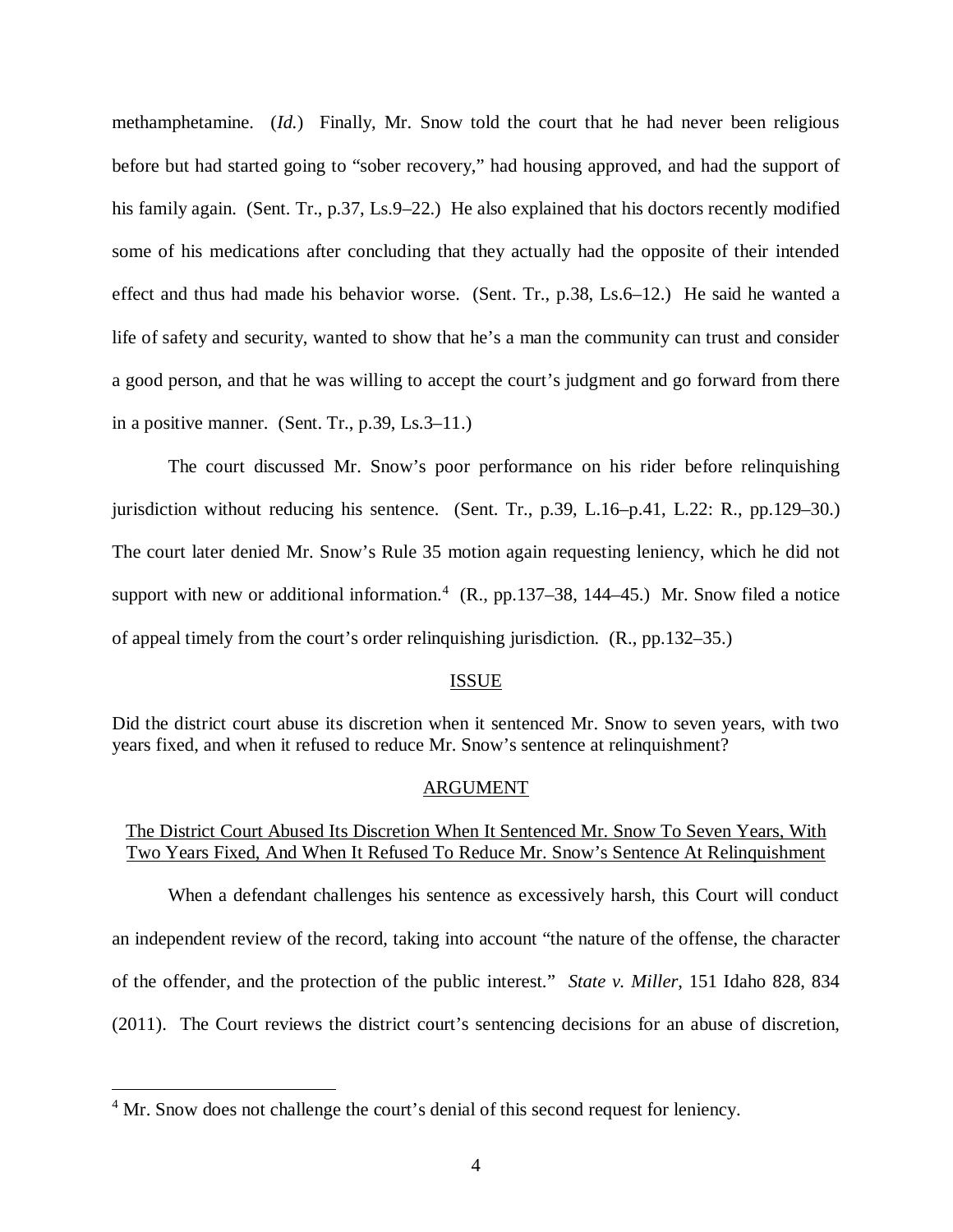methamphetamine. (*Id.*) Finally, Mr. Snow told the court that he had never been religious before but had started going to "sober recovery," had housing approved, and had the support of his family again. (Sent. Tr., p.37, Ls.9–22.) He also explained that his doctors recently modified some of his medications after concluding that they actually had the opposite of their intended effect and thus had made his behavior worse. (Sent. Tr., p.38, Ls.6–12.) He said he wanted a life of safety and security, wanted to show that he's a man the community can trust and consider a good person, and that he was willing to accept the court's judgment and go forward from there in a positive manner. (Sent. Tr., p.39, Ls.3–11.)

The court discussed Mr. Snow's poor performance on his rider before relinquishing jurisdiction without reducing his sentence. (Sent. Tr., p.39, L.16–p.41, L.22: R., pp.129–30.) The court later denied Mr. Snow's Rule 35 motion again requesting leniency, which he did not support with new or additional information.<sup>[4](#page-4-0)</sup> (R., pp.137–38, 144–45.) Mr. Snow filed a notice of appeal timely from the court's order relinquishing jurisdiction. (R., pp.132–35.)

#### ISSUE

Did the district court abuse its discretion when it sentenced Mr. Snow to seven years, with two years fixed, and when it refused to reduce Mr. Snow's sentence at relinquishment?

#### ARGUMENT

# The District Court Abused Its Discretion When It Sentenced Mr. Snow To Seven Years, With Two Years Fixed, And When It Refused To Reduce Mr. Snow's Sentence At Relinquishment

When a defendant challenges his sentence as excessively harsh, this Court will conduct an independent review of the record, taking into account "the nature of the offense, the character of the offender, and the protection of the public interest." *State v. Miller*, 151 Idaho 828, 834 (2011). The Court reviews the district court's sentencing decisions for an abuse of discretion,

<span id="page-4-0"></span><sup>&</sup>lt;sup>4</sup> Mr. Snow does not challenge the court's denial of this second request for leniency.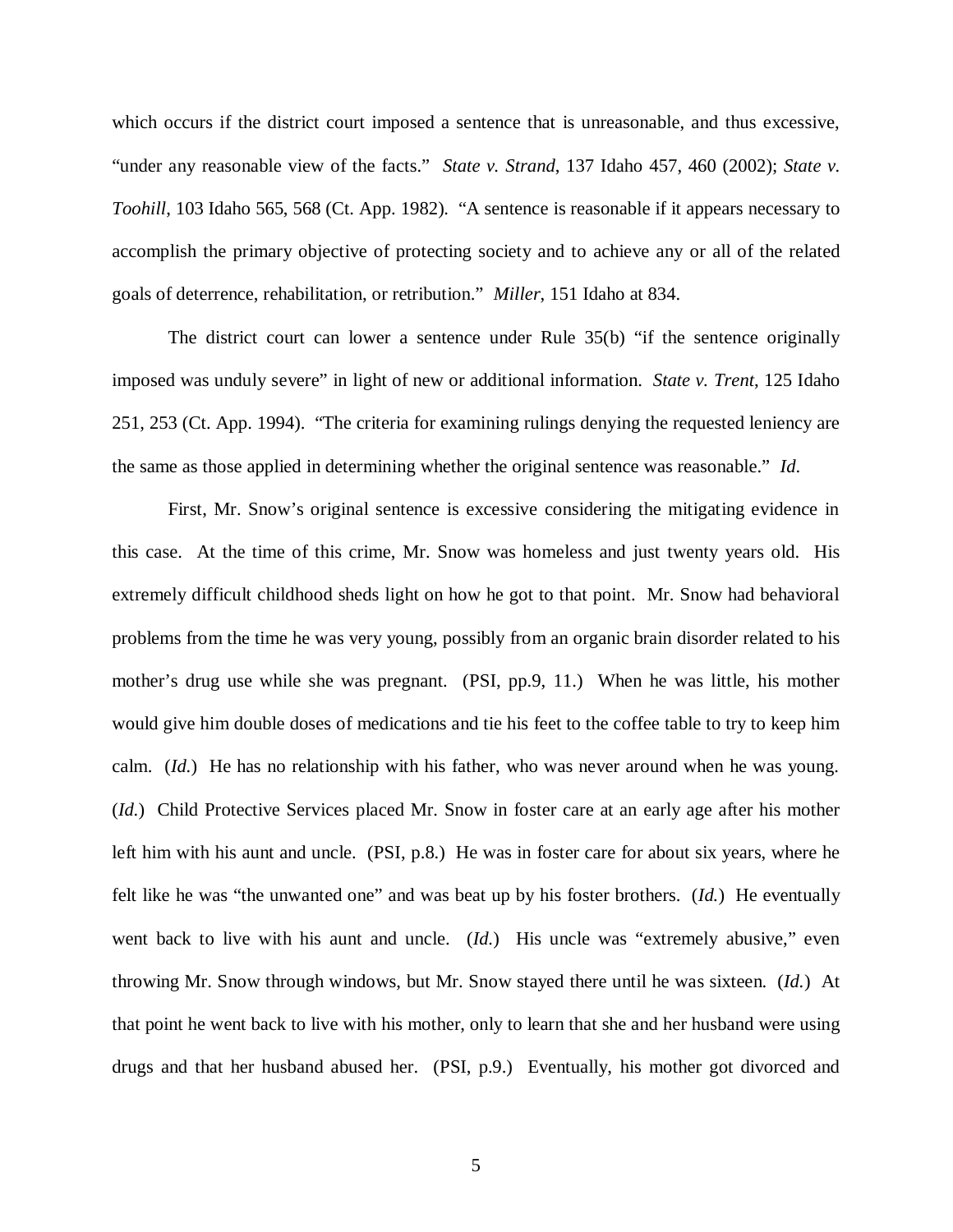which occurs if the district court imposed a sentence that is unreasonable, and thus excessive, "under any reasonable view of the facts." *State v. Strand*, 137 Idaho 457, 460 (2002); *State v. Toohill*, 103 Idaho 565, 568 (Ct. App. 1982). "A sentence is reasonable if it appears necessary to accomplish the primary objective of protecting society and to achieve any or all of the related goals of deterrence, rehabilitation, or retribution." *Miller*, 151 Idaho at 834.

The district court can lower a sentence under Rule 35(b) "if the sentence originally imposed was unduly severe" in light of new or additional information. *State v. Trent*, 125 Idaho 251, 253 (Ct. App. 1994). "The criteria for examining rulings denying the requested leniency are the same as those applied in determining whether the original sentence was reasonable." *Id*.

First, Mr. Snow's original sentence is excessive considering the mitigating evidence in this case. At the time of this crime, Mr. Snow was homeless and just twenty years old. His extremely difficult childhood sheds light on how he got to that point. Mr. Snow had behavioral problems from the time he was very young, possibly from an organic brain disorder related to his mother's drug use while she was pregnant. (PSI, pp.9, 11.) When he was little, his mother would give him double doses of medications and tie his feet to the coffee table to try to keep him calm. (*Id.*) He has no relationship with his father, who was never around when he was young. (*Id.*) Child Protective Services placed Mr. Snow in foster care at an early age after his mother left him with his aunt and uncle. (PSI, p.8.) He was in foster care for about six years, where he felt like he was "the unwanted one" and was beat up by his foster brothers. (*Id.*) He eventually went back to live with his aunt and uncle. (*Id.*) His uncle was "extremely abusive," even throwing Mr. Snow through windows, but Mr. Snow stayed there until he was sixteen. (*Id.*) At that point he went back to live with his mother, only to learn that she and her husband were using drugs and that her husband abused her. (PSI, p.9.) Eventually, his mother got divorced and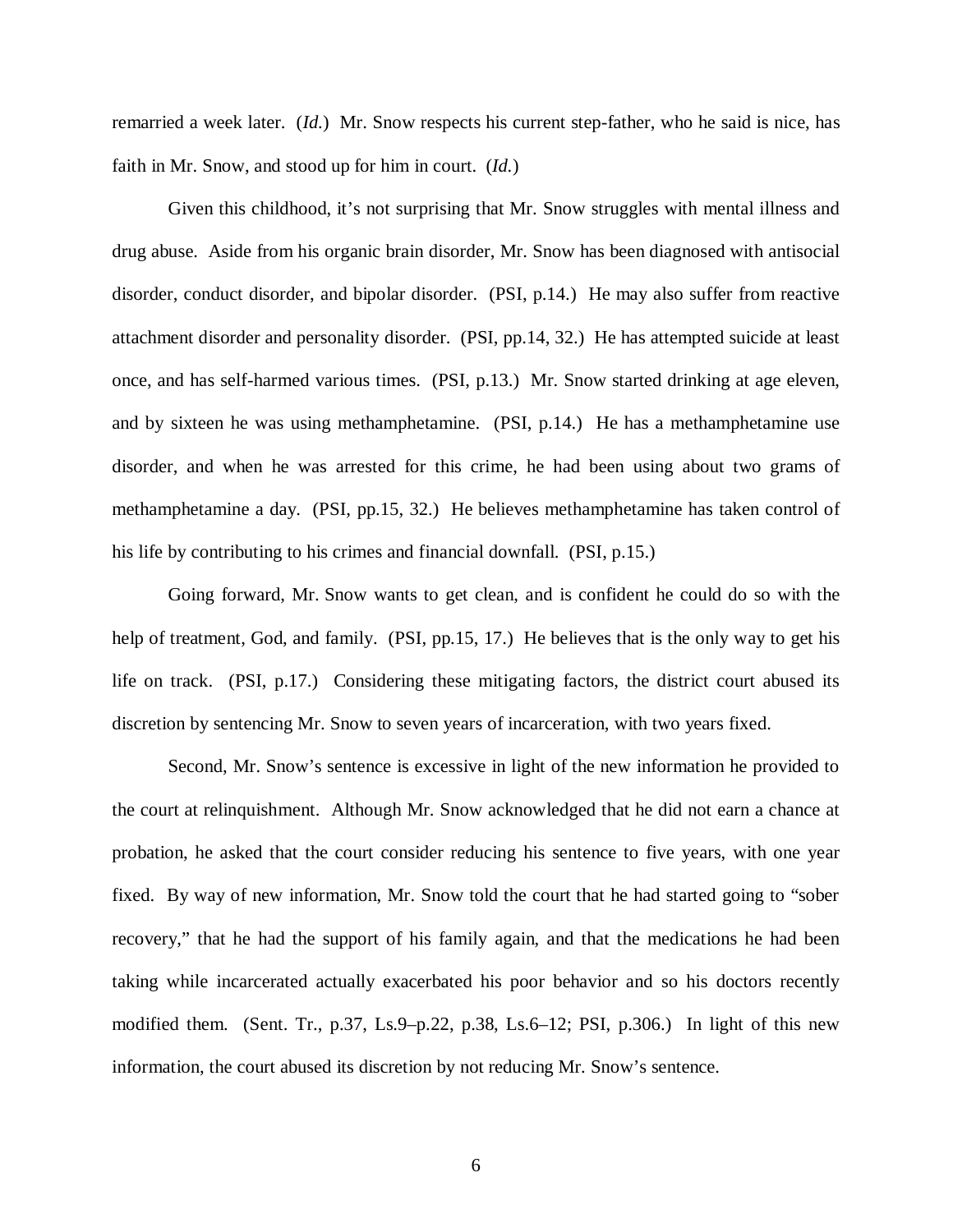remarried a week later. (*Id.*) Mr. Snow respects his current step-father, who he said is nice, has faith in Mr. Snow, and stood up for him in court. (*Id.*)

Given this childhood, it's not surprising that Mr. Snow struggles with mental illness and drug abuse. Aside from his organic brain disorder, Mr. Snow has been diagnosed with antisocial disorder, conduct disorder, and bipolar disorder. (PSI, p.14.) He may also suffer from reactive attachment disorder and personality disorder. (PSI, pp.14, 32.) He has attempted suicide at least once, and has self-harmed various times. (PSI, p.13.) Mr. Snow started drinking at age eleven, and by sixteen he was using methamphetamine. (PSI, p.14.) He has a methamphetamine use disorder, and when he was arrested for this crime, he had been using about two grams of methamphetamine a day. (PSI, pp.15, 32.) He believes methamphetamine has taken control of his life by contributing to his crimes and financial downfall. (PSI, p.15.)

Going forward, Mr. Snow wants to get clean, and is confident he could do so with the help of treatment, God, and family. (PSI, pp.15, 17.) He believes that is the only way to get his life on track. (PSI, p.17.) Considering these mitigating factors, the district court abused its discretion by sentencing Mr. Snow to seven years of incarceration, with two years fixed.

Second, Mr. Snow's sentence is excessive in light of the new information he provided to the court at relinquishment. Although Mr. Snow acknowledged that he did not earn a chance at probation, he asked that the court consider reducing his sentence to five years, with one year fixed. By way of new information, Mr. Snow told the court that he had started going to "sober recovery," that he had the support of his family again, and that the medications he had been taking while incarcerated actually exacerbated his poor behavior and so his doctors recently modified them. (Sent. Tr., p.37, Ls.9–p.22, p.38, Ls.6–12; PSI, p.306.) In light of this new information, the court abused its discretion by not reducing Mr. Snow's sentence.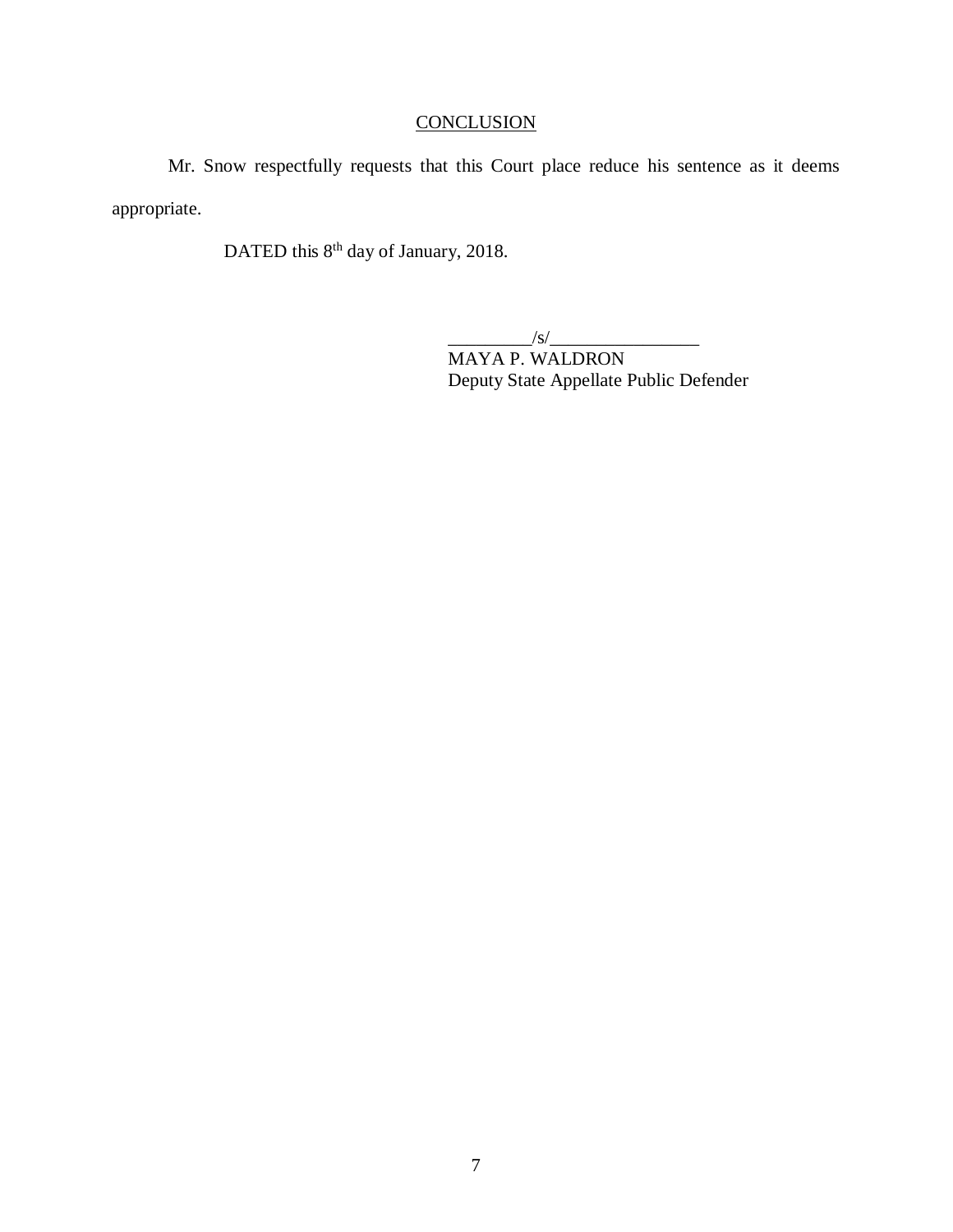# **CONCLUSION**

Mr. Snow respectfully requests that this Court place reduce his sentence as it deems appropriate.

DATED this 8<sup>th</sup> day of January, 2018.

 $\frac{1}{s}$ 

MAYA P. WALDRON Deputy State Appellate Public Defender